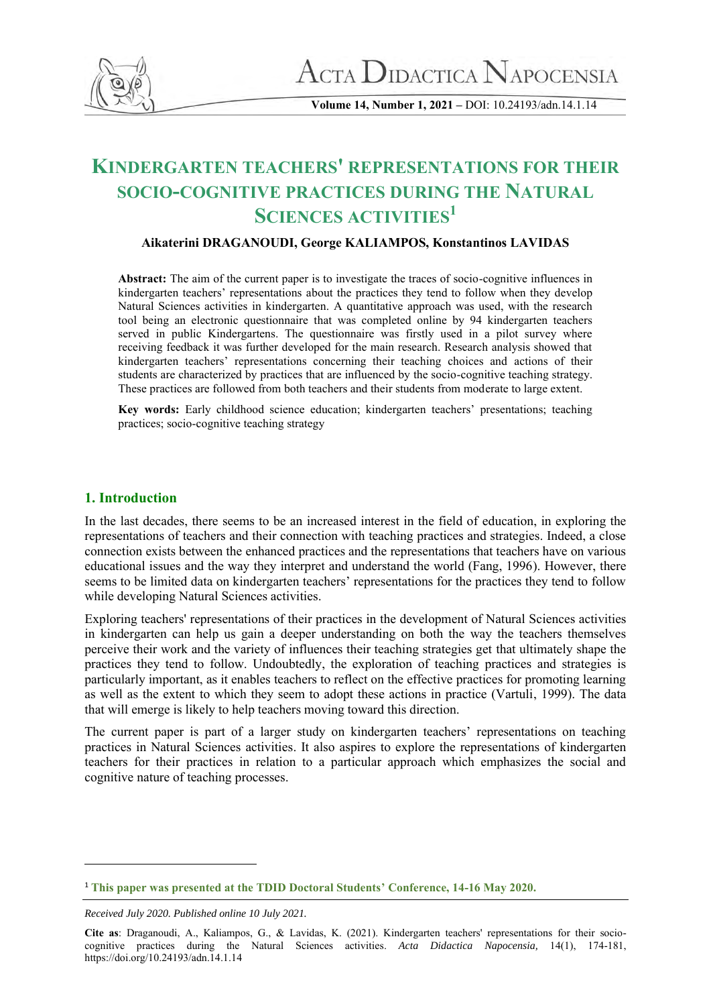

**Volume 14, Number 1, 2021 –** DOI: 10.24193/adn.14.1.14

# **KINDERGARTEN TEACHERS' REPRESENTATIONS FOR THEIR SOCIO-COGNITIVE PRACTICES DURING THE NATURAL SCIENCES ACTIVITIES<sup>1</sup>**

## **Aikaterini DRAGANOUDI, George KALIAMPOS, Konstantinos LAVIDAS**

**Abstract:** The aim of the current paper is to investigate the traces of socio-cognitive influences in kindergarten teachers' representations about the practices they tend to follow when they develop Natural Sciences activities in kindergarten. A quantitative approach was used, with the research tool being an electronic questionnaire that was completed online by 94 kindergarten teachers served in public Kindergartens. The questionnaire was firstly used in a pilot survey where receiving feedback it was further developed for the main research. Research analysis showed that kindergarten teachers' representations concerning their teaching choices and actions of their students are characterized by practices that are influenced by the socio-cognitive teaching strategy. These practices are followed from both teachers and their students from moderate to large extent.

**Key words:** Early childhood science education; kindergarten teachers' presentations; teaching practices; socio-cognitive teaching strategy

## **1. Introduction**

In the last decades, there seems to be an increased interest in the field of education, in exploring the representations of teachers and their connection with teaching practices and strategies. Indeed, a close connection exists between the enhanced practices and the representations that teachers have on various educational issues and the way they interpret and understand the world (Fang, 1996). However, there seems to be limited data on kindergarten teachers' representations for the practices they tend to follow while developing Natural Sciences activities.

Exploring teachers' representations of their practices in the development of Natural Sciences activities in kindergarten can help us gain a deeper understanding on both the way the teachers themselves perceive their work and the variety of influences their teaching strategies get that ultimately shape the practices they tend to follow. Undoubtedly, the exploration of teaching practices and strategies is particularly important, as it enables teachers to reflect on the effective practices for promoting learning as well as the extent to which they seem to adopt these actions in practice (Vartuli, 1999). The data that will emerge is likely to help teachers moving toward this direction.

The current paper is part of a larger study on kindergarten teachers' representations on teaching practices in Natural Sciences activities. It also aspires to explore the representations of kindergarten teachers for their practices in relation to a particular approach which emphasizes the social and cognitive nature of teaching processes.

<sup>1</sup> **This paper was presented at the TDID Doctoral Students' Conference, 14-16 May 2020.**

*Received July 2020. Published online 10 July 2021.*

**Cite as**: Draganoudi, A., Kaliampos, G., & Lavidas, K. (2021). Kindergarten teachers' representations for their sociocognitive practices during the Natural Sciences activities. *Acta Didactica Napocensia,* 14(1), 174-181, https://doi.org/10.24193/adn.14.1.14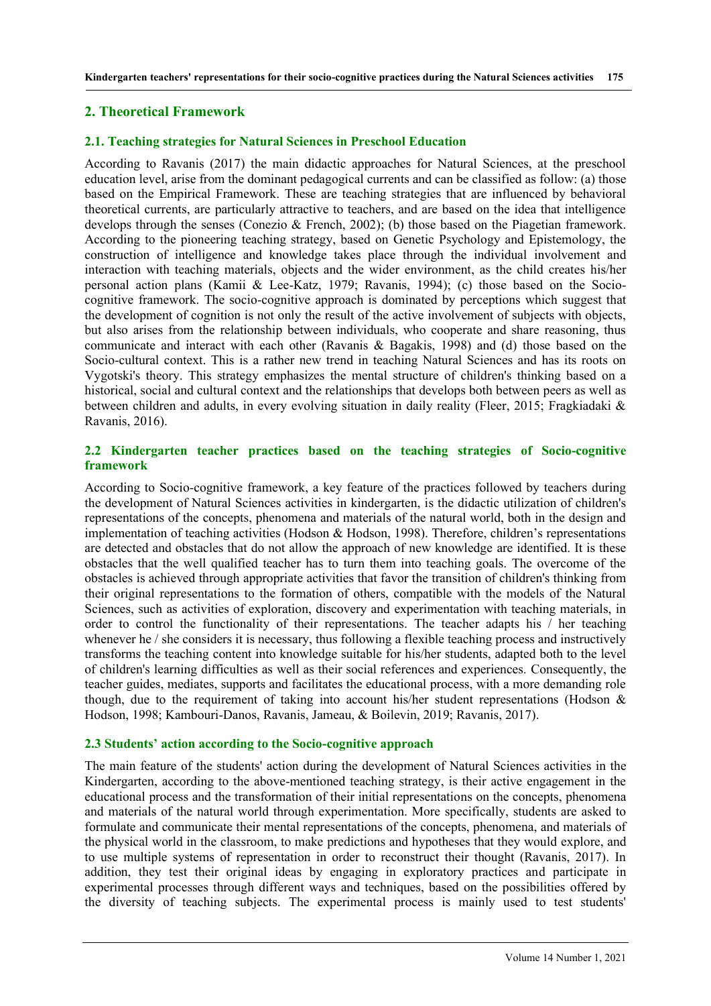#### **2. Theoretical Framework**

#### **2.1. Teaching strategies for Natural Sciences in Preschool Education**

According to Ravanis (2017) the main didactic approaches for Natural Sciences, at the preschool education level, arise from the dominant pedagogical currents and can be classified as follow: (a) those based on the Empirical Framework. These are teaching strategies that are influenced by behavioral theoretical currents, are particularly attractive to teachers, and are based on the idea that intelligence develops through the senses (Conezio & French, 2002); (b) those based on the Piagetian framework. According to the pioneering teaching strategy, based on Genetic Psychology and Epistemology, the construction of intelligence and knowledge takes place through the individual involvement and interaction with teaching materials, objects and the wider environment, as the child creates his/her personal action plans (Kamii & Lee-Katz, 1979; Ravanis, 1994); (c) those based on the Sociocognitive framework. The socio-cognitive approach is dominated by perceptions which suggest that the development of cognition is not only the result of the active involvement of subjects with objects, but also arises from the relationship between individuals, who cooperate and share reasoning, thus communicate and interact with each other (Ravanis & Bagakis, 1998) and (d) those based on the Socio-cultural context. This is a rather new trend in teaching Natural Sciences and has its roots on Vygotski's theory. This strategy emphasizes the mental structure of children's thinking based on a historical, social and cultural context and the relationships that develops both between peers as well as between children and adults, in every evolving situation in daily reality (Fleer, 2015; Fragkiadaki & Ravanis, 2016).

## **2.2 Kindergarten teacher practices based on the teaching strategies of Socio-cognitive framework**

According to Socio-cognitive framework, a key feature of the practices followed by teachers during the development of Natural Sciences activities in kindergarten, is the didactic utilization of children's representations of the concepts, phenomena and materials of the natural world, both in the design and implementation of teaching activities (Hodson & Hodson, 1998). Therefore, children's representations are detected and obstacles that do not allow the approach of new knowledge are identified. It is these obstacles that the well qualified teacher has to turn them into teaching goals. The overcome of the obstacles is achieved through appropriate activities that favor the transition of children's thinking from their original representations to the formation of others, compatible with the models of the Natural Sciences, such as activities of exploration, discovery and experimentation with teaching materials, in order to control the functionality of their representations. The teacher adapts his / her teaching whenever he / she considers it is necessary, thus following a flexible teaching process and instructively transforms the teaching content into knowledge suitable for his/her students, adapted both to the level of children's learning difficulties as well as their social references and experiences. Consequently, the teacher guides, mediates, supports and facilitates the educational process, with a more demanding role though, due to the requirement of taking into account his/her student representations (Hodson  $\&$ Hodson, 1998; Kambouri-Danos, Ravanis, Jameau, & Boilevin, 2019; Ravanis, 2017).

#### **2.3 Students' action according to the Socio-cognitive approach**

The main feature of the students' action during the development of Natural Sciences activities in the Kindergarten, according to the above-mentioned teaching strategy, is their active engagement in the educational process and the transformation of their initial representations on the concepts, phenomena and materials of the natural world through experimentation. More specifically, students are asked to formulate and communicate their mental representations of the concepts, phenomena, and materials of the physical world in the classroom, to make predictions and hypotheses that they would explore, and to use multiple systems of representation in order to reconstruct their thought (Ravanis, 2017). In addition, they test their original ideas by engaging in exploratory practices and participate in experimental processes through different ways and techniques, based on the possibilities offered by the diversity of teaching subjects. The experimental process is mainly used to test students'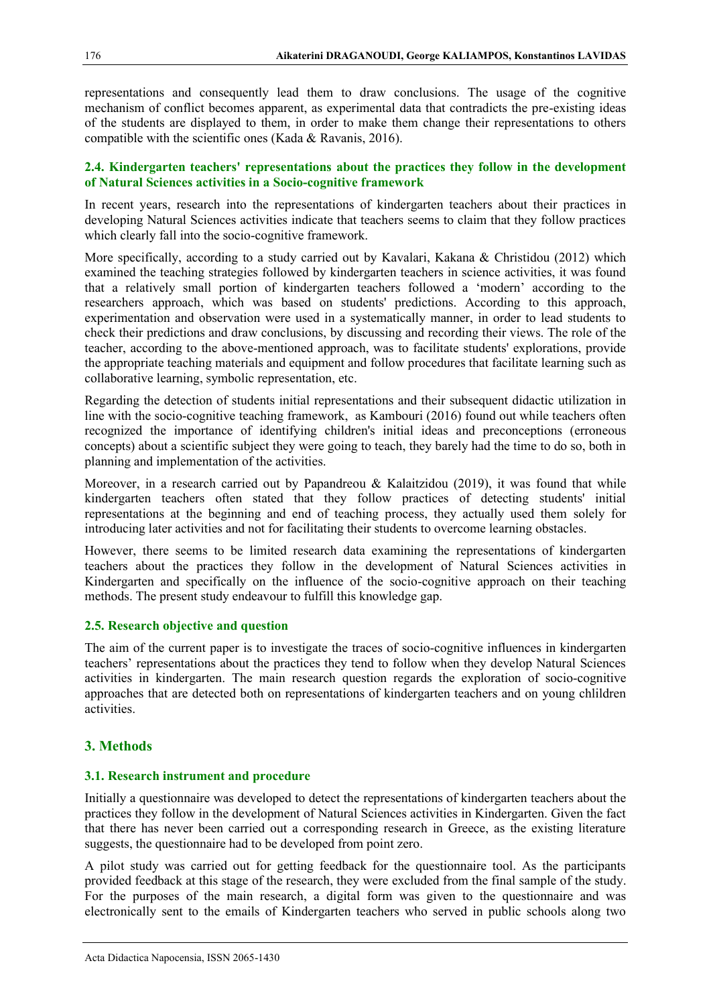representations and consequently lead them to draw conclusions. The usage of the cognitive mechanism of conflict becomes apparent, as experimental data that contradicts the pre-existing ideas of the students are displayed to them, in order to make them change their representations to others compatible with the scientific ones (Kada & Ravanis, 2016).

## **2.4. Κindergarten teachers' representations about the practices they follow in the development of Natural Sciences activities in a Socio-cognitive framework**

In recent years, research into the representations of kindergarten teachers about their practices in developing Natural Sciences activities indicate that teachers seems to claim that they follow practices which clearly fall into the socio-cognitive framework.

More specifically, according to a study carried out by Kavalari, Kakana & Christidou (2012) which examined the teaching strategies followed by kindergarten teachers in science activities, it was found that a relatively small portion of kindergarten teachers followed a 'modern' according to the researchers approach, which was based on students' predictions. According to this approach, experimentation and observation were used in a systematically manner, in order to lead students to check their predictions and draw conclusions, by discussing and recording their views. The role of the teacher, according to the above-mentioned approach, was to facilitate students' explorations, provide the appropriate teaching materials and equipment and follow procedures that facilitate learning such as collaborative learning, symbolic representation, etc.

Regarding the detection of students initial representations and their subsequent didactic utilization in line with the socio-cognitive teaching framework, as Kambouri (2016) found out while teachers often recognized the importance of identifying children's initial ideas and preconceptions (erroneous concepts) about a scientific subject they were going to teach, they barely had the time to do so, both in planning and implementation of the activities.

Moreover, in a research carried out by Papandreou & Kalaitzidou (2019), it was found that while kindergarten teachers often stated that they follow practices of detecting students' initial representations at the beginning and end of teaching process, they actually used them solely for introducing later activities and not for facilitating their students to overcome learning obstacles.

However, there seems to be limited research data examining the representations of kindergarten teachers about the practices they follow in the development of Natural Sciences activities in Kindergarten and specifically on the influence of the socio-cognitive approach on their teaching methods. The present study endeavour to fulfill this knowledge gap.

## **2.5. Research objective and question**

The aim of the current paper is to investigate the traces of socio-cognitive influences in kindergarten teachers' representations about the practices they tend to follow when they develop Natural Sciences activities in kindergarten. The main research question regards the exploration of socio-cognitive approaches that are detected both on representations of kindergarten teachers and on young chlildren activities.

## **3. Methods**

#### **3.1. Research instrument and procedure**

Initially a questionnaire was developed to detect the representations of kindergarten teachers about the practices they follow in the development of Natural Sciences activities in Kindergarten. Given the fact that there has never been carried out a corresponding research in Greece, as the existing literature suggests, the questionnaire had to be developed from point zero.

A pilot study was carried out for getting feedback for the questionnaire tool. As the participants provided feedback at this stage of the research, they were excluded from the final sample of the study. For the purposes of the main research, a digital form was given to the questionnaire and was electronically sent to the emails of Kindergarten teachers who served in public schools along two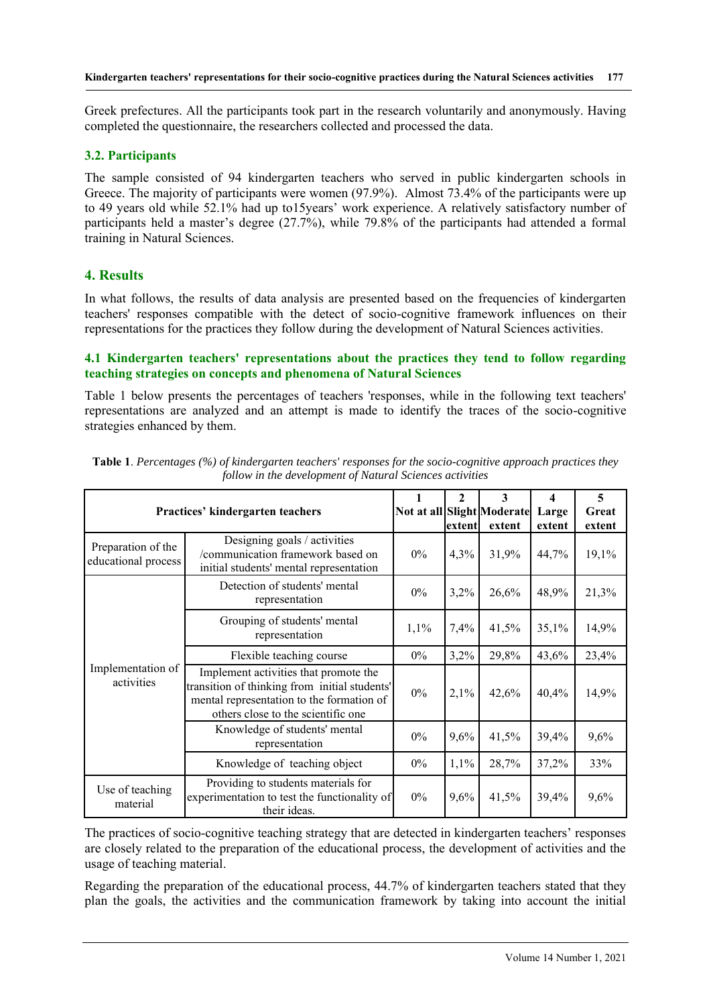Greek prefectures. All the participants took part in the research voluntarily and anonymously. Having completed the questionnaire, the researchers collected and processed the data.

## **3.2. Participants**

Τhe sample consisted of 94 kindergarten teachers who served in public kindergarten schools in Greece. The majority of participants were women (97.9%). Almost 73.4% of the participants were up to 49 years old while 52.1% had up to15years' work experience. A relatively satisfactory number of participants held a master's degree (27.7%), while 79.8% of the participants had attended a formal training in Natural Sciences.

## **4. Results**

In what follows, the results of data analysis are presented based on the frequencies of kindergarten teachers' responses compatible with the detect of socio-cognitive framework influences on their representations for the practices they follow during the development of Natural Sciences activities.

## **4.1 Κindergarten teachers' representations about the practices they tend to follow regarding teaching strategies on concepts and phenomena of Natural Sciences**

Table 1 below presents the percentages of teachers 'responses, while in the following text teachers' representations are analyzed and an attempt is made to identify the traces of the socio-cognitive strategies enhanced by them.

| Practices' kindergarten teachers          |                                                                                                                                                                           |       | 2      | 3<br>Not at all Slight Moderate | 4<br>Large | 5<br>Great |
|-------------------------------------------|---------------------------------------------------------------------------------------------------------------------------------------------------------------------------|-------|--------|---------------------------------|------------|------------|
|                                           |                                                                                                                                                                           |       | extent | extent                          | extent     | extent     |
| Preparation of the<br>educational process | Designing goals / activities<br>/communication framework based on<br>initial students' mental representation                                                              | $0\%$ | 4,3%   | 31,9%                           | 44,7%      | 19,1%      |
| Implementation of<br>activities           | Detection of students' mental<br>representation                                                                                                                           | $0\%$ | 3,2%   | 26,6%                           | 48,9%      | 21,3%      |
|                                           | Grouping of students' mental<br>representation                                                                                                                            | 1,1%  | 7,4%   | 41,5%                           | 35,1%      | 14,9%      |
|                                           | Flexible teaching course                                                                                                                                                  | $0\%$ | 3,2%   | 29,8%                           | 43,6%      | 23,4%      |
|                                           | Implement activities that promote the<br>transition of thinking from initial students'<br>mental representation to the formation of<br>others close to the scientific one | $0\%$ | 2,1%   | 42,6%                           | 40,4%      | 14,9%      |
|                                           | Knowledge of students' mental<br>representation                                                                                                                           | $0\%$ | 9,6%   | 41,5%                           | 39,4%      | 9,6%       |
|                                           | Knowledge of teaching object                                                                                                                                              | $0\%$ | 1,1%   | 28,7%                           | 37,2%      | 33%        |
| Use of teaching<br>material               | Providing to students materials for<br>experimentation to test the functionality of<br>their ideas.                                                                       | $0\%$ | 9,6%   | 41,5%                           | 39,4%      | 9,6%       |

| <b>Table 1</b> . Percentages (%) of kindergarten teachers' responses for the socio-cognitive approach practices they |  |  |  |  |  |
|----------------------------------------------------------------------------------------------------------------------|--|--|--|--|--|
| follow in the development of Natural Sciences activities                                                             |  |  |  |  |  |

The practices of socio-cognitive teaching strategy that are detected in kindergarten teachers' responses are closely related to the preparation of the educational process, the development of activities and the usage of teaching material.

Regarding the preparation of the educational process, 44.7% of kindergarten teachers stated that they plan the goals, the activities and the communication framework by taking into account the initial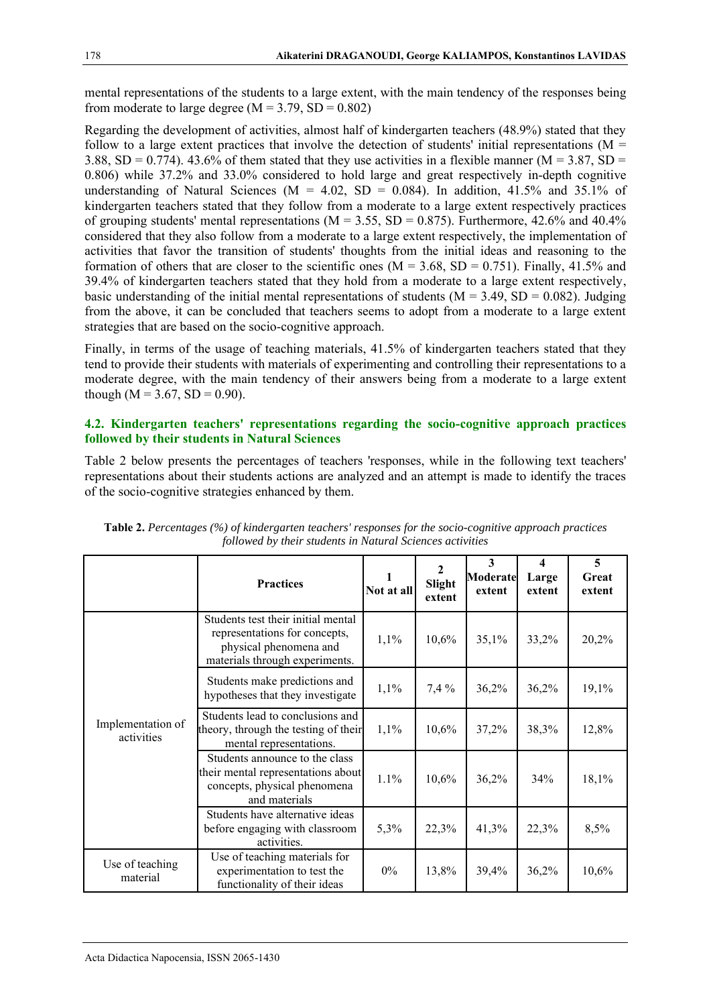mental representations of the students to a large extent, with the main tendency of the responses being from moderate to large degree  $(M = 3.79, SD = 0.802)$ 

Regarding the development of activities, almost half of kindergarten teachers (48.9%) stated that they follow to a large extent practices that involve the detection of students' initial representations ( $M =$ 3.88,  $SD = 0.774$ ). 43.6% of them stated that they use activities in a flexible manner (M = 3.87, SD = 0.806) while 37.2% and 33.0% considered to hold large and great respectively in-depth cognitive understanding of Natural Sciences ( $M = 4.02$ ,  $SD = 0.084$ ). In addition, 41.5% and 35.1% of kindergarten teachers stated that they follow from a moderate to a large extent respectively practices of grouping students' mental representations ( $M = 3.55$ ,  $SD = 0.875$ ). Furthermore, 42.6% and 40.4% considered that they also follow from a moderate to a large extent respectively, the implementation of activities that favor the transition of students' thoughts from the initial ideas and reasoning to the formation of others that are closer to the scientific ones ( $M = 3.68$ ,  $SD = 0.751$ ). Finally, 41.5% and 39.4% of kindergarten teachers stated that they hold from a moderate to a large extent respectively, basic understanding of the initial mental representations of students  $(M = 3.49, SD = 0.082)$ . Judging from the above, it can be concluded that teachers seems to adopt from a moderate to a large extent strategies that are based on the socio-cognitive approach.

Finally, in terms of the usage of teaching materials, 41.5% of kindergarten teachers stated that they tend to provide their students with materials of experimenting and controlling their representations to a moderate degree, with the main tendency of their answers being from a moderate to a large extent though ( $M = 3.67$ ,  $SD = 0.90$ ).

## **4.2. Κindergarten teachers' representations regarding the socio-cognitive approach practices followed by their students in Natural Sciences**

Table 2 below presents the percentages of teachers 'responses, while in the following text teachers' representations about their students actions are analyzed and an attempt is made to identify the traces of the socio-cognitive strategies enhanced by them.

|                                 | <b>Practices</b>                                                                                                                | Not at all | 2<br>Slight<br>extent | 3<br><b>Moderate</b><br>extent | 4<br>Large<br>extent | 5<br>Great<br>extent |
|---------------------------------|---------------------------------------------------------------------------------------------------------------------------------|------------|-----------------------|--------------------------------|----------------------|----------------------|
| Implementation of<br>activities | Students test their initial mental<br>representations for concepts,<br>physical phenomena and<br>materials through experiments. | 1,1%       | 10,6%                 | 35,1%                          | 33,2%                | 20,2%                |
|                                 | Students make predictions and<br>hypotheses that they investigate                                                               | 1,1%       | 7,4%                  | 36,2%                          | 36,2%                | 19,1%                |
|                                 | Students lead to conclusions and<br>theory, through the testing of their<br>mental representations.                             | 1,1%       | 10,6%                 | 37,2%                          | 38,3%                | 12,8%                |
|                                 | Students announce to the class<br>their mental representations about<br>concepts, physical phenomena<br>and materials           | 1.1%       | 10,6%                 | 36,2%                          | 34%                  | 18,1%                |
|                                 | Students have alternative ideas<br>before engaging with classroom<br>activities.                                                | 5,3%       | 22,3%                 | 41,3%                          | 22,3%                | 8,5%                 |
| Use of teaching<br>material     | Use of teaching materials for<br>experimentation to test the<br>functionality of their ideas                                    | $0\%$      | 13,8%                 | 39,4%                          | 36,2%                | 10,6%                |

**Table 2.** *Percentages (%) of kindergarten teachers' responses for the socio-cognitive approach practices followed by their students in Natural Sciences activities*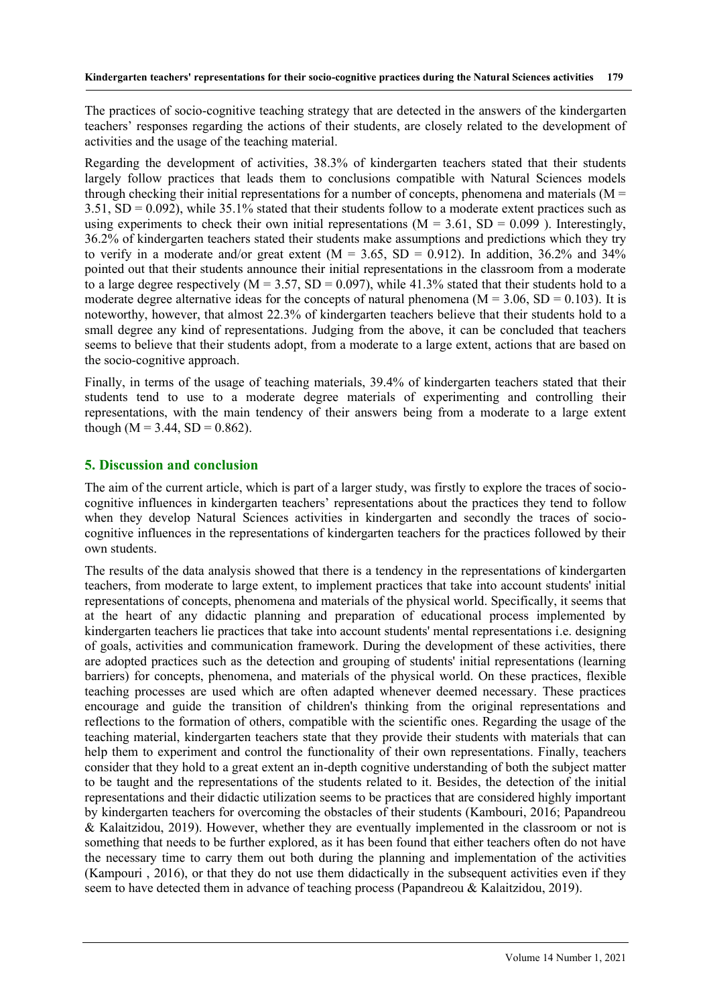The practices of socio-cognitive teaching strategy that are detected in the answers of the kindergarten teachers' responses regarding the actions of their students, are closely related to the development of activities and the usage of the teaching material.

Regarding the development of activities, 38.3% of kindergarten teachers stated that their students largely follow practices that leads them to conclusions compatible with Natural Sciences models through checking their initial representations for a number of concepts, phenomena and materials ( $M =$ 3.51, SD = 0.092), while 35.1% stated that their students follow to a moderate extent practices such as using experiments to check their own initial representations ( $M = 3.61$ ,  $SD = 0.099$ ). Interestingly, 36.2% of kindergarten teachers stated their students make assumptions and predictions which they try to verify in a moderate and/or great extent  $(M = 3.65, SD = 0.912)$ . In addition, 36.2% and 34% pointed out that their students announce their initial representations in the classroom from a moderate to a large degree respectively ( $M = 3.57$ ,  $SD = 0.097$ ), while 41.3% stated that their students hold to a moderate degree alternative ideas for the concepts of natural phenomena ( $M = 3.06$ , SD = 0.103). It is noteworthy, however, that almost 22.3% of kindergarten teachers believe that their students hold to a small degree any kind of representations. Judging from the above, it can be concluded that teachers seems to believe that their students adopt, from a moderate to a large extent, actions that are based on the socio-cognitive approach.

Finally, in terms of the usage of teaching materials, 39.4% of kindergarten teachers stated that their students tend to use to a moderate degree materials of experimenting and controlling their representations, with the main tendency of their answers being from a moderate to a large extent though ( $M = 3.44$ ,  $SD = 0.862$ ).

# **5. Discussion and conclusion**

The aim of the current article, which is part of a larger study, was firstly to explore the traces of sociocognitive influences in kindergarten teachers' representations about the practices they tend to follow when they develop Natural Sciences activities in kindergarten and secondly the traces of sociocognitive influences in the representations of kindergarten teachers for the practices followed by their own students.

The results of the data analysis showed that there is a tendency in the representations of kindergarten teachers, from moderate to large extent, to implement practices that take into account students' initial representations of concepts, phenomena and materials of the physical world. Specifically, it seems that at the heart of any didactic planning and preparation of educational process implemented by kindergarten teachers lie practices that take into account students' mental representations i.e. designing of goals, activities and communication framework. During the development of these activities, there are adopted practices such as the detection and grouping of students' initial representations (learning barriers) for concepts, phenomena, and materials of the physical world. On these practices, flexible teaching processes are used which are often adapted whenever deemed necessary. These practices encourage and guide the transition of children's thinking from the original representations and reflections to the formation of others, compatible with the scientific ones. Regarding the usage of the teaching material, kindergarten teachers state that they provide their students with materials that can help them to experiment and control the functionality of their own representations. Finally, teachers consider that they hold to a great extent an in-depth cognitive understanding of both the subject matter to be taught and the representations of the students related to it. Besides, the detection of the initial representations and their didactic utilization seems to be practices that are considered highly important by kindergarten teachers for overcoming the obstacles of their students (Kambouri, 2016; Papandreou & Kalaitzidou, 2019). However, whether they are eventually implemented in the classroom or not is something that needs to be further explored, as it has been found that either teachers often do not have the necessary time to carry them out both during the planning and implementation of the activities (Kampouri , 2016), or that they do not use them didactically in the subsequent activities even if they seem to have detected them in advance of teaching process (Papandreou & Kalaitzidou, 2019).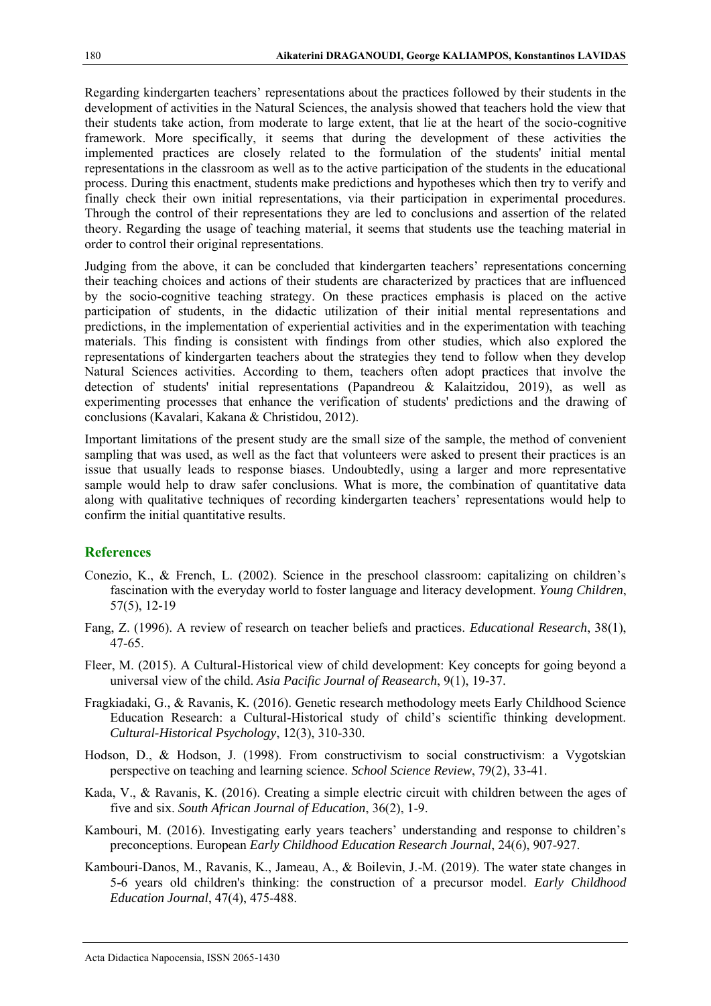Regarding kindergarten teachers' representations about the practices followed by their students in the development of activities in the Natural Sciences, the analysis showed that teachers hold the view that their students take action, from moderate to large extent, that lie at the heart of the socio-cognitive framework. More specifically, it seems that during the development of these activities the implemented practices are closely related to the formulation of the students' initial mental representations in the classroom as well as to the active participation of the students in the educational process. During this enactment, students make predictions and hypotheses which then try to verify and finally check their own initial representations, via their participation in experimental procedures. Through the control of their representations they are led to conclusions and assertion of the related theory. Regarding the usage of teaching material, it seems that students use the teaching material in order to control their original representations.

Judging from the above, it can be concluded that kindergarten teachers' representations concerning their teaching choices and actions of their students are characterized by practices that are influenced by the socio-cognitive teaching strategy. On these practices emphasis is placed on the active participation of students, in the didactic utilization of their initial mental representations and predictions, in the implementation of experiential activities and in the experimentation with teaching materials. This finding is consistent with findings from other studies, which also explored the representations of kindergarten teachers about the strategies they tend to follow when they develop Natural Sciences activities. According to them, teachers often adopt practices that involve the detection of students' initial representations (Papandreou & Kalaitzidou, 2019), as well as experimenting processes that enhance the verification of students' predictions and the drawing of conclusions (Kavalari, Kakana & Christidou, 2012).

Important limitations of the present study are the small size of the sample, the method of convenient sampling that was used, as well as the fact that volunteers were asked to present their practices is an issue that usually leads to response biases. Undoubtedly, using a larger and more representative sample would help to draw safer conclusions. What is more, the combination of quantitative data along with qualitative techniques of recording kindergarten teachers' representations would help to confirm the initial quantitative results.

#### **References**

- Conezio, K., & French, L. (2002). Science in the preschool classroom: capitalizing on children's fascination with the everyday world to foster language and literacy development. *Young Children*, 57(5), 12-19
- Fang, Ζ. (1996). A review of research on teacher beliefs and practices. *Educational Research*, 38(1), 47-65.
- Fleer, M. (2015). A Cultural-Historical view of child development: Key concepts for going beyond a universal view of the child. *Asia Pacific Journal of Reasearch*, 9(1), 19-37.
- Fragkiadaki, G., & Ravanis, K. (2016). Genetic research methodology meets Early Childhood Science Education Research: a Cultural-Historical study of child's scientific thinking development. *Cultural-Historical Psychology*, 12(3), 310-330.
- Hodson, D., & Hodson, J. (1998). From constructivism to social constructivism: a Vygotskian perspective on teaching and learning science. *School Science Review*, 79(2), 33-41.
- Kada, V., & Ravanis, K. (2016). Creating a simple electric circuit with children between the ages of five and six. *South African Journal of Education*, 36(2), 1-9.
- Kambouri, M. (2016). Investigating early years teachers' understanding and response to children's preconceptions. European *Early Childhood Education Research Journal*, 24(6), 907-927.
- Kambouri-Danos, M., Ravanis, K., Jameau, A., & Boilevin, J.-M. (2019). The water state changes in 5-6 years old children's thinking: the construction of a precursor model. *Early Childhood Education Journal*, 47(4), 475-488.